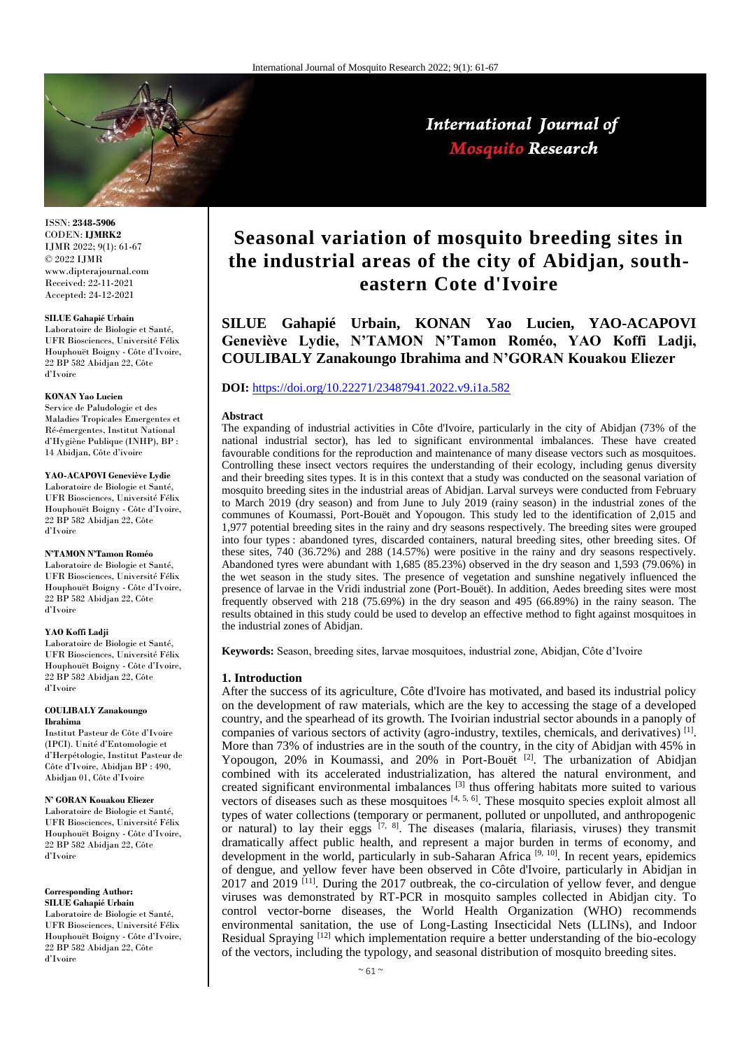

International Journal of **Mosquito Research** 

ISSN: **2348-5906** CODEN: **IJMRK2** IJMR 2022; 9(1): 61-67 © 2022 IJMR www.dipterajournal.com Received: 22-11-2021 Accepted: 24-12-2021

#### **SILUE Gahapié Urbain**

Laboratoire de Biologie et Santé, UFR Biosciences, Université Félix Houphouët Boigny - Côte d'Ivoire, 22 BP 582 Abidjan 22, Côte d'Ivoire

#### **KONAN Yao Lucien**

Service de Paludologie et des Maladies Tropicales Emergentes et Ré-émergentes, Institut National d'Hygiène Publique (INHP), BP : 14 Abidjan, Côte d'ivoire

#### **YAO-ACAPOVI Geneviève Lydie**

Laboratoire de Biologie et Santé, UFR Biosciences, Université Félix Houphouët Boigny - Côte d'Ivoire, 22 BP 582 Abidjan 22, Côte d'Ivoire

## **N'TAMON N'Tamon Roméo**

Laboratoire de Biologie et Santé, UFR Biosciences, Université Félix Houphouët Boigny - Côte d'Ivoire, 22 BP 582 Abidjan 22, Côte d'Ivoire

#### **YAO Koffi Ladji**

Laboratoire de Biologie et Santé, UFR Biosciences, Université Félix Houphouët Boigny - Côte d'Ivoire, 22 BP 582 Abidjan 22, Côte d'Ivoire

#### **COULIBALY Zanakoungo Ibrahima**

Institut Pasteur de Côte d'Ivoire (IPCI). Unité d'Entomologie et d'Herpétologie, Institut Pasteur de Côte d'Ivoire, Abidjan BP : 490, Abidjan 01, Côte d'Ivoire

## **N' GORAN Kouakou Eliezer**

Laboratoire de Biologie et Santé, UFR Biosciences, Université Félix Houphouët Boigny - Côte d'Ivoire, 22 BP 582 Abidjan 22, Côte d'Ivoire

**Corresponding Author:**

**SILUE Gahapié Urbain** Laboratoire de Biologie et Santé, UFR Biosciences, Université Félix Houphouët Boigny - Côte d'Ivoire, 22 BP 582 Abidjan 22, Côte d'Ivoire

# **Seasonal variation of mosquito breeding sites in the industrial areas of the city of Abidjan, southeastern Cote d'Ivoire**

**SILUE Gahapié Urbain, KONAN Yao Lucien, YAO-ACAPOVI Geneviève Lydie, N'TAMON N'Tamon Roméo, YAO Koffi Ladji, COULIBALY Zanakoungo Ibrahima and N'GORAN Kouakou Eliezer**

# **DOI:** <https://doi.org/10.22271/23487941.2022.v9.i1a.582>

#### **Abstract**

The expanding of industrial activities in Côte d'Ivoire, particularly in the city of Abidjan (73% of the national industrial sector), has led to significant environmental imbalances. These have created favourable conditions for the reproduction and maintenance of many disease vectors such as mosquitoes. Controlling these insect vectors requires the understanding of their ecology, including genus diversity and their breeding sites types. It is in this context that a study was conducted on the seasonal variation of mosquito breeding sites in the industrial areas of Abidjan. Larval surveys were conducted from February to March 2019 (dry season) and from June to July 2019 (rainy season) in the industrial zones of the communes of Koumassi, Port-Bouët and Yopougon. This study led to the identification of 2,015 and 1,977 potential breeding sites in the rainy and dry seasons respectively. The breeding sites were grouped into four types : abandoned tyres, discarded containers, natural breeding sites, other breeding sites. Of these sites, 740 (36.72%) and 288 (14.57%) were positive in the rainy and dry seasons respectively. Abandoned tyres were abundant with 1,685 (85.23%) observed in the dry season and 1,593 (79.06%) in the wet season in the study sites. The presence of vegetation and sunshine negatively influenced the presence of larvae in the Vridi industrial zone (Port-Bouët). In addition, Aedes breeding sites were most frequently observed with 218 (75.69%) in the dry season and 495 (66.89%) in the rainy season. The results obtained in this study could be used to develop an effective method to fight against mosquitoes in the industrial zones of Abidjan.

**Keywords:** Season, breeding sites, larvae mosquitoes, industrial zone, Abidjan, Côte d'Ivoire

#### **1. Introduction**

After the success of its agriculture, Côte d'Ivoire has motivated, and based its industrial policy on the development of raw materials, which are the key to accessing the stage of a developed country, and the spearhead of its growth. The Ivoirian industrial sector abounds in a panoply of companies of various sectors of activity (agro-industry, textiles, chemicals, and derivatives) <sup>[1]</sup>. More than 73% of industries are in the south of the country, in the city of Abidjan with 45% in Yopougon, 20% in Koumassi, and 20% in Port-Bouët <sup>[2]</sup>. The urbanization of Abidjan combined with its accelerated industrialization, has altered the natural environment, and created significant environmental imbalances  $^{[3]}$  thus offering habitats more suited to various vectors of diseases such as these mosquitoes  $[4, 5, 6]$ . These mosquito species exploit almost all types of water collections (temporary or permanent, polluted or unpolluted, and anthropogenic or natural) to lay their eggs [7, 8]. The diseases (malaria, filariasis, viruses) they transmit dramatically affect public health, and represent a major burden in terms of economy, and development in the world, particularly in sub-Saharan Africa [9, 10]. In recent years, epidemics of dengue, and yellow fever have been observed in Côte d'Ivoire, particularly in Abidjan in 2017 and 2019 <sup>[11]</sup>. During the 2017 outbreak, the co-circulation of yellow fever, and dengue viruses was demonstrated by RT-PCR in mosquito samples collected in Abidjan city. To control vector-borne diseases, the World Health Organization (WHO) recommends environmental sanitation, the use of Long-Lasting Insecticidal Nets (LLINs), and Indoor Residual Spraying  $[12]$  which implementation require a better understanding of the bio-ecology of the vectors, including the typology, and seasonal distribution of mosquito breeding sites.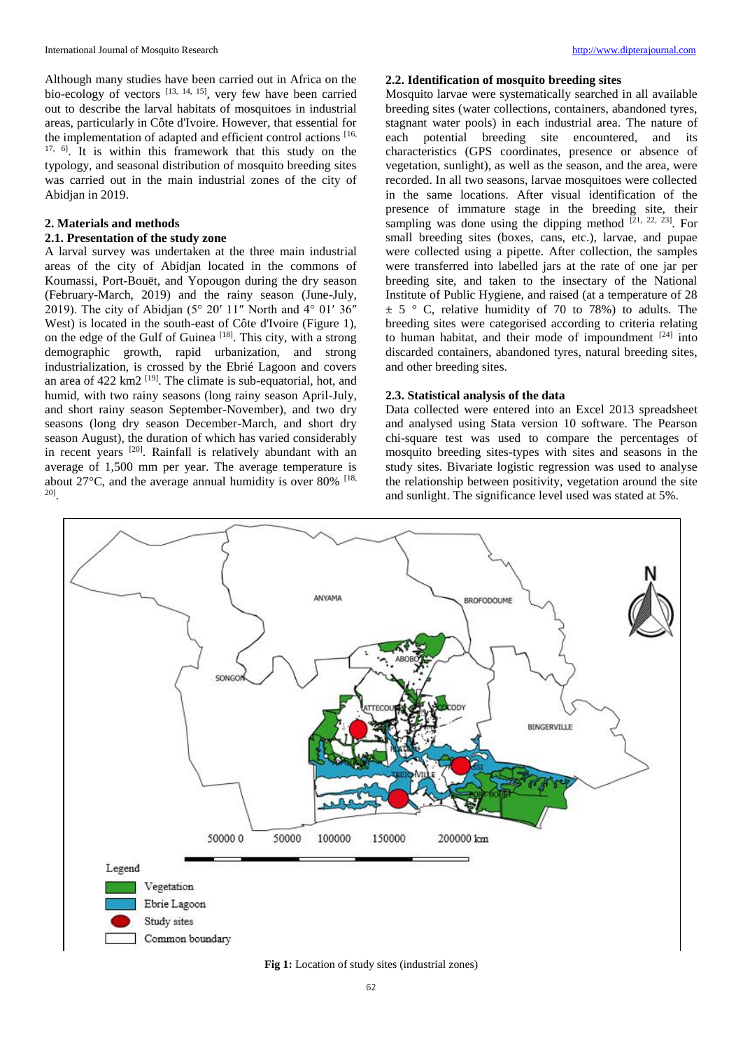Although many studies have been carried out in Africa on the bio-ecology of vectors [13, 14, 15], very few have been carried out to describe the larval habitats of mosquitoes in industrial areas, particularly in Côte d'Ivoire. However, that essential for the implementation of adapted and efficient control actions [16, 17, 6]. It is within this framework that this study on the typology, and seasonal distribution of mosquito breeding sites was carried out in the main industrial zones of the city of Abidjan in 2019.

# **2. Materials and methods**

# **2.1. Presentation of the study zone**

A larval survey was undertaken at the three main industrial areas of the city of Abidjan located in the commons of Koumassi, Port-Bouët, and Yopougon during the dry season (February-March, 2019) and the rainy season (June-July, 2019). The city of Abidjan (5° 20′ 11″ North and 4° 01′ 36″ West) is located in the south-east of Côte d'Ivoire (Figure 1), on the edge of the Gulf of Guinea [18]. This city, with a strong demographic growth, rapid urbanization, and strong industrialization, is crossed by the Ebrié Lagoon and covers an area of 422 km2<sup>[19]</sup>. The climate is sub-equatorial, hot, and humid, with two rainy seasons (long rainy season April-July, and short rainy season September-November), and two dry seasons (long dry season December-March, and short dry season August), the duration of which has varied considerably in recent years <sup>[20]</sup>. Rainfall is relatively abundant with an average of 1,500 mm per year. The average temperature is about  $27^{\circ}$ C, and the average annual humidity is over 80% [18, 20] .

## **2.2. Identification of mosquito breeding sites**

Mosquito larvae were systematically searched in all available breeding sites (water collections, containers, abandoned tyres, stagnant water pools) in each industrial area. The nature of each potential breeding site encountered, and its characteristics (GPS coordinates, presence or absence of vegetation, sunlight), as well as the season, and the area, were recorded. In all two seasons, larvae mosquitoes were collected in the same locations. After visual identification of the presence of immature stage in the breeding site, their sampling was done using the dipping method  $[21, 22, 23]$ . For small breeding sites (boxes, cans, etc.), larvae, and pupae were collected using a pipette. After collection, the samples were transferred into labelled jars at the rate of one jar per breeding site, and taken to the insectary of the National Institute of Public Hygiene, and raised (at a temperature of 28  $\pm$  5 ° C, relative humidity of 70 to 78%) to adults. The breeding sites were categorised according to criteria relating to human habitat, and their mode of impoundment  $[24]$  into discarded containers, abandoned tyres, natural breeding sites, and other breeding sites.

#### **2.3. Statistical analysis of the data**

Data collected were entered into an Excel 2013 spreadsheet and analysed using Stata version 10 software. The Pearson chi-square test was used to compare the percentages of mosquito breeding sites-types with sites and seasons in the study sites. Bivariate logistic regression was used to analyse the relationship between positivity, vegetation around the site and sunlight. The significance level used was stated at 5%.



**Fig 1:** Location of study sites (industrial zones)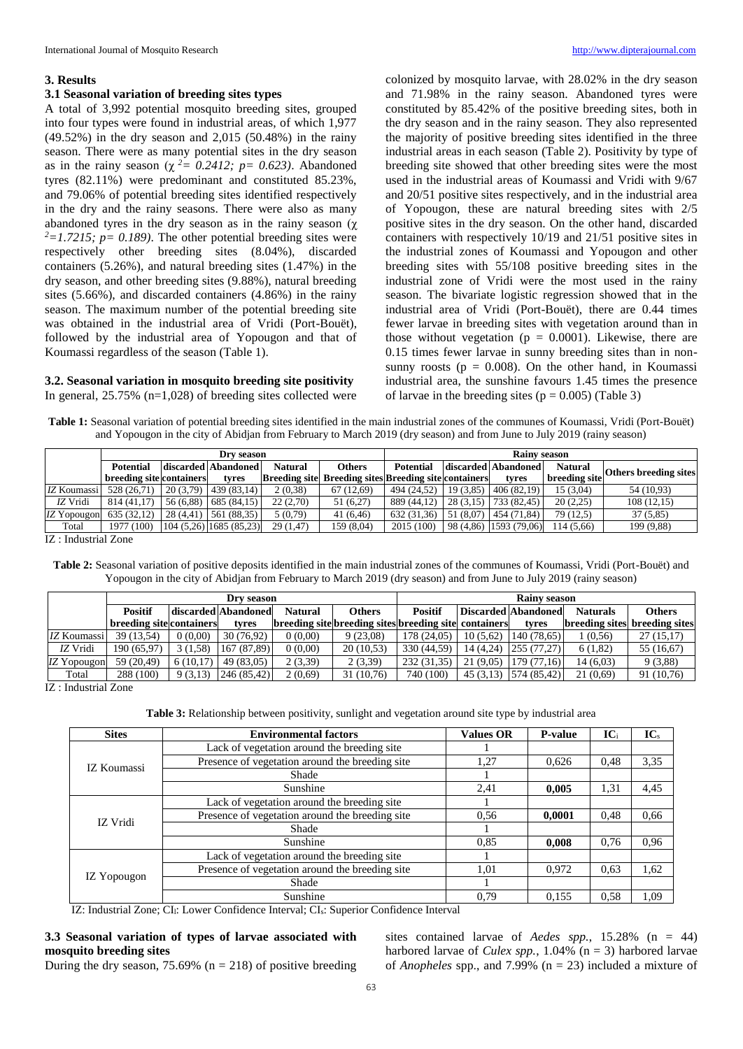## **3. Results**

## **3.1 Seasonal variation of breeding sites types**

A total of 3,992 potential mosquito breeding sites, grouped into four types were found in industrial areas, of which 1,977 (49.52%) in the dry season and 2,015 (50.48%) in the rainy season. There were as many potential sites in the dry season as in the rainy season ( $\chi^2$  = 0.2412; p= 0.623). Abandoned tyres (82.11%) were predominant and constituted 85.23%, and 79.06% of potential breeding sites identified respectively in the dry and the rainy seasons. There were also as many abandoned tyres in the dry season as in the rainy season ( $\chi$ )  $2=1.7215$ ;  $p=0.189$ ). The other potential breeding sites were respectively other breeding sites (8.04%), discarded containers (5.26%), and natural breeding sites (1.47%) in the dry season, and other breeding sites (9.88%), natural breeding sites (5.66%), and discarded containers (4.86%) in the rainy season. The maximum number of the potential breeding site was obtained in the industrial area of Vridi (Port-Bouët), followed by the industrial area of Yopougon and that of Koumassi regardless of the season (Table 1).

# **3.2. Seasonal variation in mosquito breeding site positivity**

In general, 25.75% (n=1,028) of breeding sites collected were

colonized by mosquito larvae, with 28.02% in the dry season and 71.98% in the rainy season. Abandoned tyres were constituted by 85.42% of the positive breeding sites, both in the dry season and in the rainy season. They also represented the majority of positive breeding sites identified in the three industrial areas in each season (Table 2). Positivity by type of breeding site showed that other breeding sites were the most used in the industrial areas of Koumassi and Vridi with 9/67 and 20/51 positive sites respectively, and in the industrial area of Yopougon, these are natural breeding sites with 2/5 positive sites in the dry season. On the other hand, discarded containers with respectively 10/19 and 21/51 positive sites in the industrial zones of Koumassi and Yopougon and other breeding sites with 55/108 positive breeding sites in the industrial zone of Vridi were the most used in the rainy season. The bivariate logistic regression showed that in the industrial area of Vridi (Port-Bouët), there are 0.44 times fewer larvae in breeding sites with vegetation around than in those without vegetation ( $p = 0.0001$ ). Likewise, there are 0.15 times fewer larvae in sunny breeding sites than in nonsunny roosts ( $p = 0.008$ ). On the other hand, in Koumassi industrial area, the sunshine favours 1.45 times the presence of larvae in the breeding sites  $(p = 0.005)$  (Table 3)

**Table 1:** Seasonal variation of potential breeding sites identified in the main industrial zones of the communes of Koumassi, Vridi (Port-Bouët) and Yopougon in the city of Abidjan from February to March 2019 (dry season) and from June to July 2019 (rainy season)

|                      |                          | Dry season |                         |          | <b>Rainv season</b>                                          |                  |           |                       |                |                              |  |
|----------------------|--------------------------|------------|-------------------------|----------|--------------------------------------------------------------|------------------|-----------|-----------------------|----------------|------------------------------|--|
|                      | <b>Potential</b>         |            | discarded Abandoned     | Natural  | <b>Others</b>                                                | <b>Potential</b> |           | discarded   Abandoned | <b>Natural</b> | <b>Others breeding sites</b> |  |
|                      | breeding site containers |            | tvres                   |          | <b>Breeding site Breeding sites Breeding site containers</b> |                  |           | tyres                 | breeding site  |                              |  |
| IZ Koumassi          | 528 (26.71)              | 20(3.79)   | 439(83,14)              | 2(0,38)  | 67(12,69)                                                    | 494 (24.52)      | 19(3.85)  | 406 (82.19)           | 15 (3,04)      | 54 (10.93)                   |  |
| IZ Vridi             | 814 (41,17)              | 56 (6.88)  | 685(84,15)              | 22(2,70) | 51 (6,27)                                                    | 889 (44,12)      | 28(3.15)  | 733 (82.45)           | 20(2,25)       | 108(12,15)                   |  |
| IZ Yopougon          | 635 (32,12)              | 28(4.41)   | 561 (88,35)             | 5(0,79)  | 41(6,46)                                                     | 632 (31,36)      | 51 (8.07) | 454 (71.84)           | 79(12,5)       | 37 (5,85)                    |  |
| Total                | 1977 (100)               |            | 104 (5,26) 1685 (85,23) | 29(1,47) | 159 (8,04)                                                   | 2015 (100)       | 98 (4,86) | 1593(79,06)           | 114 (5,66)     | 199 (9,88)                   |  |
| IZ · Industrial Zone |                          |            |                         |          |                                                              |                  |           |                       |                |                              |  |

IZ : Industrial Zone

**Table 2:** Seasonal variation of positive deposits identified in the main industrial zones of the communes of Koumassi, Vridi (Port-Bouët) and Yopougon in the city of Abidjan from February to March 2019 (dry season) and from June to July 2019 (rainy season)

|                           |          |            |                          | <b>Rainv season</b>                                            |                |           |       |                                                              |                                                                                                                                    |  |
|---------------------------|----------|------------|--------------------------|----------------------------------------------------------------|----------------|-----------|-------|--------------------------------------------------------------|------------------------------------------------------------------------------------------------------------------------------------|--|
| <b>Positif</b>            |          |            | <b>Natural</b>           | <b>Others</b>                                                  | <b>Positif</b> |           |       | <b>Naturals</b>                                              | <b>Others</b>                                                                                                                      |  |
|                           |          | tyres      |                          |                                                                |                |           | tvres |                                                              |                                                                                                                                    |  |
| IZ Koumassi<br>39 (13.54) | 0(0.00)  | 30 (76.92) | 0(0,00)                  | 9(23.08)                                                       | 178 (24.05)    | 10(5.62)  |       | (0.56)                                                       | 27(15,17)                                                                                                                          |  |
| 190(65,97)                | 3(1.58)  |            | 0(0,00)                  | 20(10,53)                                                      | 330 (44.59)    | 14 (4.24) |       | 6(1,82)                                                      | 55 (16,67)                                                                                                                         |  |
| 59 (20.49)<br>IZ Yopougon | 6(10.17) | 49 (83.05) | 2(3,39)                  | 2(3,39)                                                        | 232 (31,35)    | 21(9.05)  |       | 14(6,03)                                                     | 9(3,88)                                                                                                                            |  |
| 288 (100)                 | 9(3,13)  |            | 2(0,69)                  | 31 (10,76)                                                     | 740 (100)      |           |       | 21(0,69)                                                     | 91 (10,76)                                                                                                                         |  |
|                           |          |            | breeding site containers | Dry season<br>discarded Abandoned<br>167 (87,89)<br>246(85,42) |                |           |       | <b>breeding site breeding sites breeding site containers</b> | <b>Discarded Abandoned</b><br>breeding sites breeding sites<br>140 (78.65)<br>255 (77.27)<br>179(77.16)<br>45 (3,13) [574 (85,42)] |  |

IZ : Industrial Zone

**Table 3:** Relationship between positivity, sunlight and vegetation around site type by industrial area

| <b>Sites</b> | <b>Environmental factors</b>                    | <b>Values OR</b> | <b>P-value</b> | $IC_i$ | $IC_s$ |
|--------------|-------------------------------------------------|------------------|----------------|--------|--------|
|              | Lack of vegetation around the breeding site     |                  |                |        |        |
| IZ Koumassi  | Presence of vegetation around the breeding site | 1,27             | 0.626          | 0,48   | 3,35   |
|              | Shade                                           |                  |                |        |        |
|              | Sunshine                                        | 2,41             | 0,005          | 1,31   | 4,45   |
| IZ Vridi     | Lack of vegetation around the breeding site     |                  |                |        |        |
|              | Presence of vegetation around the breeding site | 0.56             | 0.0001         | 0,48   | 0,66   |
|              | Shade                                           |                  |                |        |        |
|              | Sunshine                                        | 0.85             | 0.008          | 0,76   | 0,96   |
|              | Lack of vegetation around the breeding site     |                  |                |        |        |
|              | Presence of vegetation around the breeding site | 1,01             | 0.972          | 0.63   | 1,62   |
| IZ Yopougon  | Shade                                           |                  |                |        |        |
|              | Sunshine                                        | 0.79             | 0,155          | 0.58   | 1,09   |

IZ: Industrial Zone; CIl: Lower Confidence Interval; CIs: Superior Confidence Interval

# **3.3 Seasonal variation of types of larvae associated with mosquito breeding sites**

During the dry season, 75.69% ( $n = 218$ ) of positive breeding

sites contained larvae of *Aedes spp.*, 15.28% (n = 44) harbored larvae of *Culex spp.*, 1.04% (n = 3) harbored larvae of *Anopheles* spp., and 7.99% (n = 23) included a mixture of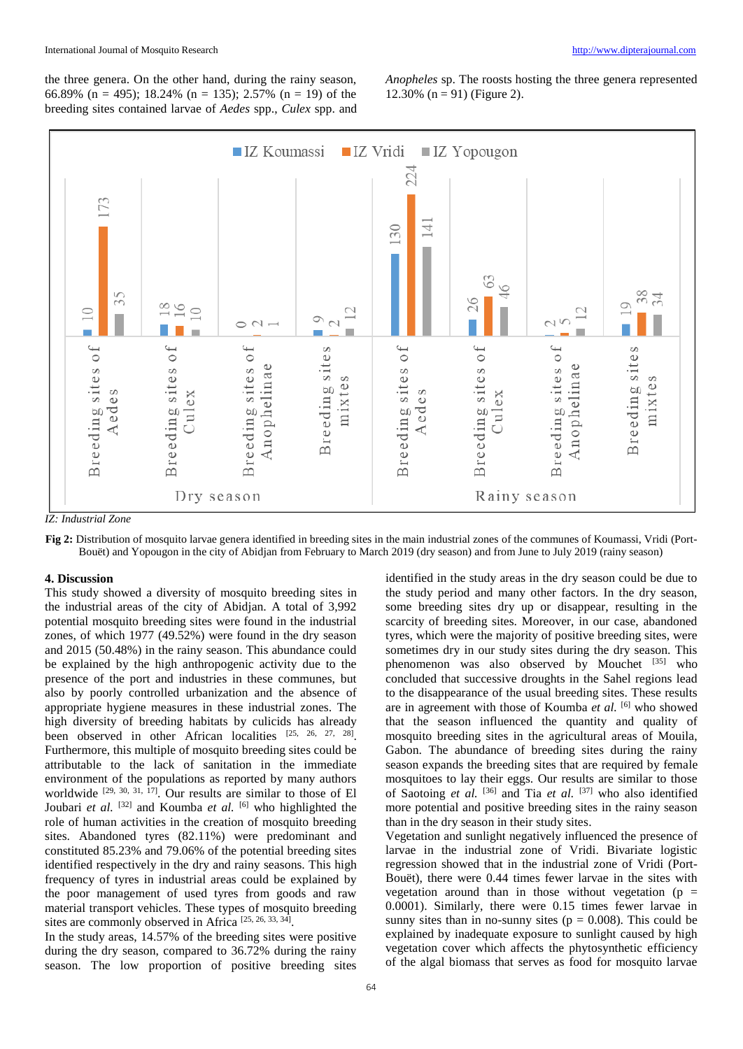the three genera. On the other hand, during the rainy season, 66.89% (n = 495); 18.24% (n = 135); 2.57% (n = 19) of the breeding sites contained larvae of *Aedes* spp., *Culex* spp. and

*Anopheles* sp. The roosts hosting the three genera represented 12.30% ( $n = 91$ ) (Figure 2).



*IZ: Industrial Zone*

**Fig 2:** Distribution of mosquito larvae genera identified in breeding sites in the main industrial zones of the communes of Koumassi, Vridi (Port-Bouët) and Yopougon in the city of Abidjan from February to March 2019 (dry season) and from June to July 2019 (rainy season)

#### **4. Discussion**

This study showed a diversity of mosquito breeding sites in the industrial areas of the city of Abidjan. A total of 3,992 potential mosquito breeding sites were found in the industrial zones, of which 1977 (49.52%) were found in the dry season and 2015 (50.48%) in the rainy season. This abundance could be explained by the high anthropogenic activity due to the presence of the port and industries in these communes, but also by poorly controlled urbanization and the absence of appropriate hygiene measures in these industrial zones. The high diversity of breeding habitats by culicids has already been observed in other African localities [25, 26, 27, 28]. Furthermore, this multiple of mosquito breeding sites could be attributable to the lack of sanitation in the immediate environment of the populations as reported by many authors worldwide  $[29, 30, 31, 17]$ . Our results are similar to those of El Joubari *et al.* [32] and Koumba *et al.* [6] who highlighted the role of human activities in the creation of mosquito breeding sites. Abandoned tyres (82.11%) were predominant and constituted 85.23% and 79.06% of the potential breeding sites identified respectively in the dry and rainy seasons. This high frequency of tyres in industrial areas could be explained by the poor management of used tyres from goods and raw material transport vehicles. These types of mosquito breeding sites are commonly observed in Africa<sup>[25, 26, 33, 34]</sup>.

In the study areas, 14.57% of the breeding sites were positive during the dry season, compared to 36.72% during the rainy season. The low proportion of positive breeding sites identified in the study areas in the dry season could be due to the study period and many other factors. In the dry season, some breeding sites dry up or disappear, resulting in the scarcity of breeding sites. Moreover, in our case, abandoned tyres, which were the majority of positive breeding sites, were sometimes dry in our study sites during the dry season. This phenomenon was also observed by Mouchet [35] who concluded that successive droughts in the Sahel regions lead to the disappearance of the usual breeding sites. These results are in agreement with those of Koumba *et al.* [6] who showed that the season influenced the quantity and quality of mosquito breeding sites in the agricultural areas of Mouila, Gabon. The abundance of breeding sites during the rainy season expands the breeding sites that are required by female mosquitoes to lay their eggs. Our results are similar to those of Saotoing *et al.* [36] and Tia *et al.* [37] who also identified more potential and positive breeding sites in the rainy season than in the dry season in their study sites.

Vegetation and sunlight negatively influenced the presence of larvae in the industrial zone of Vridi. Bivariate logistic regression showed that in the industrial zone of Vridi (Port-Bouët), there were 0.44 times fewer larvae in the sites with vegetation around than in those without vegetation ( $p =$ 0.0001). Similarly, there were 0.15 times fewer larvae in sunny sites than in no-sunny sites ( $p = 0.008$ ). This could be explained by inadequate exposure to sunlight caused by high vegetation cover which affects the phytosynthetic efficiency of the algal biomass that serves as food for mosquito larvae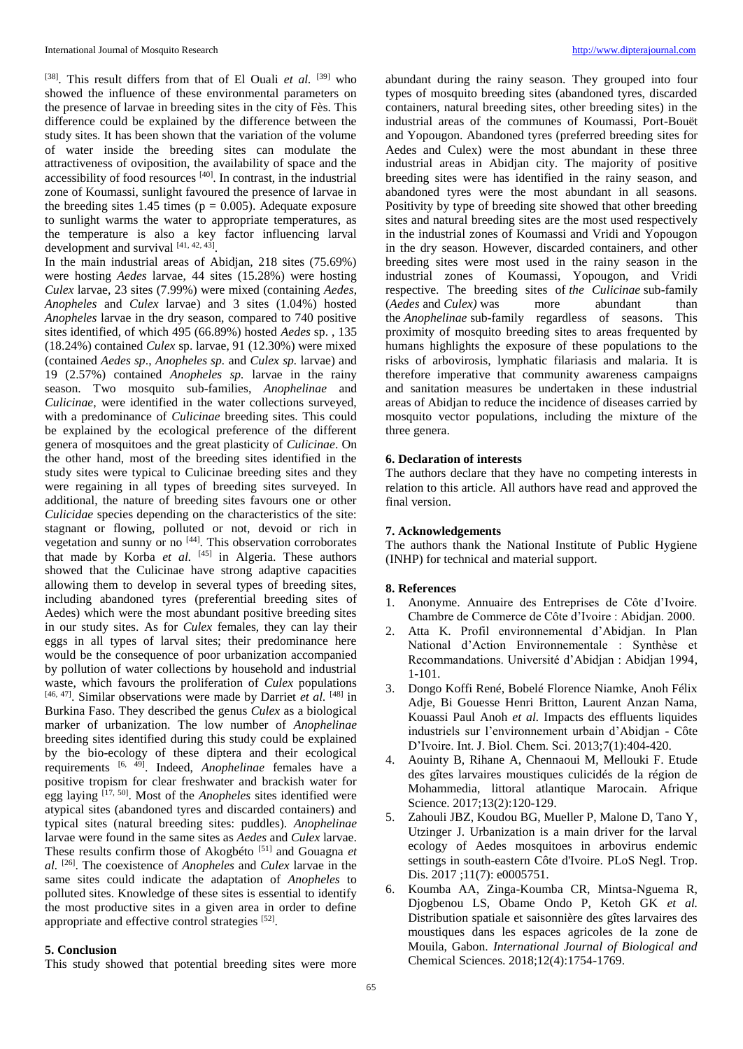[38]. This result differs from that of El Quali *et al.* [39] who showed the influence of these environmental parameters on the presence of larvae in breeding sites in the city of Fès. This difference could be explained by the difference between the study sites. It has been shown that the variation of the volume of water inside the breeding sites can modulate the attractiveness of oviposition, the availability of space and the  $accessibility of food resources<sup>[40]</sup>. In contrast, in the industrial$ zone of Koumassi, sunlight favoured the presence of larvae in the breeding sites 1.45 times ( $p = 0.005$ ). Adequate exposure to sunlight warms the water to appropriate temperatures, as the temperature is also a key factor influencing larval development and survival [41, 42, 43].

In the main industrial areas of Abidjan, 218 sites (75.69%) were hosting *Aedes* larvae, 44 sites (15.28%) were hosting *Culex* larvae, 23 sites (7.99%) were mixed (containing *Aedes*, *Anopheles* and *Culex* larvae) and 3 sites (1.04%) hosted *Anopheles* larvae in the dry season, compared to 740 positive sites identified, of which 495 (66.89%) hosted *Aedes* sp. , 135 (18.24%) contained *Culex* sp. larvae, 91 (12.30%) were mixed (contained *Aedes sp*., *Anopheles sp.* and *Culex sp.* larvae) and 19 (2.57%) contained *Anopheles sp.* larvae in the rainy season. Two mosquito sub-families, *Anophelinae* and *Culicinae*, were identified in the water collections surveyed, with a predominance of *Culicinae* breeding sites. This could be explained by the ecological preference of the different genera of mosquitoes and the great plasticity of *Culicinae*. On the other hand, most of the breeding sites identified in the study sites were typical to Culicinae breeding sites and they were regaining in all types of breeding sites surveyed. In additional, the nature of breeding sites favours one or other *Culicidae* species depending on the characteristics of the site: stagnant or flowing, polluted or not, devoid or rich in vegetation and sunny or no [44]. This observation corroborates that made by Korba *et al.* [45] in Algeria. These authors showed that the Culicinae have strong adaptive capacities allowing them to develop in several types of breeding sites, including abandoned tyres (preferential breeding sites of Aedes) which were the most abundant positive breeding sites in our study sites. As for *Culex* females, they can lay their eggs in all types of larval sites; their predominance here would be the consequence of poor urbanization accompanied by pollution of water collections by household and industrial waste, which favours the proliferation of *Culex* populations [46, 47]. Similar observations were made by Darriet *et al.* [48] in Burkina Faso. They described the genus *Culex* as a biological marker of urbanization. The low number of *Anophelinae*  breeding sites identified during this study could be explained by the bio-ecology of these diptera and their ecological requirements [6, 49]. Indeed, *Anophelinae* females have a positive tropism for clear freshwater and brackish water for egg laying [17, 50]. Most of the *Anopheles* sites identified were atypical sites (abandoned tyres and discarded containers) and typical sites (natural breeding sites: puddles). *Anophelinae* larvae were found in the same sites as *Aedes* and *Culex* larvae. These results confirm those of Akogbéto [51] and Gouagna *et al.* [26]. The coexistence of *Anopheles* and *Culex* larvae in the same sites could indicate the adaptation of *Anopheles* to polluted sites. Knowledge of these sites is essential to identify the most productive sites in a given area in order to define appropriate and effective control strategies [52].

## **5. Conclusion**

This study showed that potential breeding sites were more

abundant during the rainy season. They grouped into four types of mosquito breeding sites (abandoned tyres, discarded containers, natural breeding sites, other breeding sites) in the industrial areas of the communes of Koumassi, Port-Bouët and Yopougon. Abandoned tyres (preferred breeding sites for Aedes and Culex) were the most abundant in these three industrial areas in Abidjan city. The majority of positive breeding sites were has identified in the rainy season, and abandoned tyres were the most abundant in all seasons. Positivity by type of breeding site showed that other breeding sites and natural breeding sites are the most used respectively in the industrial zones of Koumassi and Vridi and Yopougon in the dry season. However, discarded containers, and other breeding sites were most used in the rainy season in the industrial zones of Koumassi, Yopougon, and Vridi respective. The breeding sites of *the Culicinae* sub-family (*Aedes* and *Culex)* was more abundant than the *Anophelinae* sub-family regardless of seasons. This proximity of mosquito breeding sites to areas frequented by humans highlights the exposure of these populations to the risks of arbovirosis, lymphatic filariasis and malaria. It is therefore imperative that community awareness campaigns and sanitation measures be undertaken in these industrial areas of Abidjan to reduce the incidence of diseases carried by mosquito vector populations, including the mixture of the three genera.

# **6. Declaration of interests**

The authors declare that they have no competing interests in relation to this article. All authors have read and approved the final version.

## **7. Acknowledgements**

The authors thank the National Institute of Public Hygiene (INHP) for technical and material support.

## **8. References**

- 1. Anonyme. Annuaire des Entreprises de Côte d'Ivoire. Chambre de Commerce de Côte d'Ivoire : Abidjan. 2000.
- 2. Atta K. Profil environnemental d'Abidjan. In Plan National d'Action Environnementale : Synthèse et Recommandations. Université d'Abidjan : Abidjan 1994, 1-101.
- 3. Dongo Koffi René, Bobelé Florence Niamke, Anoh Félix Adje, Bi Gouesse Henri Britton, Laurent Anzan Nama, Kouassi Paul Anoh *et al.* Impacts des effluents liquides industriels sur l'environnement urbain d'Abidjan - Côte D'Ivoire. Int. J. Biol. Chem. Sci. 2013;7(1):404-420.
- 4. Aouinty B, Rihane A, Chennaoui M, Mellouki F. Etude des gîtes larvaires moustiques culicidés de la région de Mohammedia, littoral atlantique Marocain. Afrique Science. 2017;13(2):120-129.
- 5. Zahouli JBZ, Koudou BG, Mueller P, Malone D, Tano Y, Utzinger J. Urbanization is a main driver for the larval ecology of Aedes mosquitoes in arbovirus endemic settings in south-eastern Côte d'Ivoire. PLoS Negl. Trop. Dis. 2017 ;11(7): e0005751.
- 6. Koumba AA, Zinga-Koumba CR, Mintsa-Nguema R, Djogbenou LS, Obame Ondo P, Ketoh GK *et al.* Distribution spatiale et saisonnière des gîtes larvaires des moustiques dans les espaces agricoles de la zone de Mouila, Gabon. *International Journal of Biological and*  Chemical Sciences. 2018;12(4):1754-1769.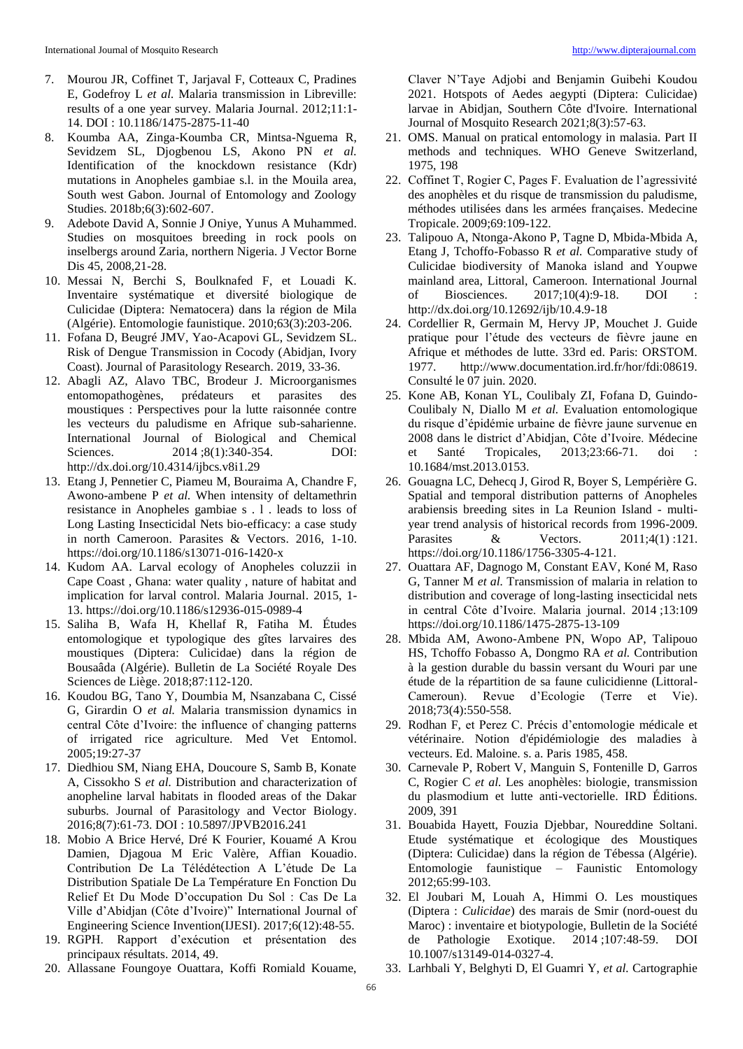- 7. Mourou JR, Coffinet T, Jarjaval F, Cotteaux C, Pradines E, Godefroy L *et al.* Malaria transmission in Libreville: results of a one year survey. Malaria Journal. 2012;11:1- 14. DOI : 10.1186/1475-2875-11-40
- 8. Koumba AA, Zinga-Koumba CR, Mintsa-Nguema R, Sevidzem SL, Djogbenou LS, Akono PN *et al.* Identification of the knockdown resistance (Kdr) mutations in Anopheles gambiae s.l. in the Mouila area, South west Gabon. Journal of Entomology and Zoology Studies. 2018b;6(3):602-607.
- 9. Adebote David A, Sonnie J Oniye, Yunus A Muhammed. Studies on mosquitoes breeding in rock pools on inselbergs around Zaria, northern Nigeria. J Vector Borne Dis 45, 2008,21-28.
- 10. Messai N, Berchi S, Boulknafed F, et Louadi K. Inventaire systématique et diversité biologique de Culicidae (Diptera: Nematocera) dans la région de Mila (Algérie). Entomologie faunistique. 2010;63(3):203-206.
- 11. Fofana D, Beugré JMV, Yao-Acapovi GL, Sevidzem SL. Risk of Dengue Transmission in Cocody (Abidjan, Ivory Coast). Journal of Parasitology Research. 2019, 33-36.
- 12. Abagli AZ, Alavo TBC, Brodeur J. Microorganismes entomopathogènes, prédateurs et parasites des moustiques : Perspectives pour la lutte raisonnée contre les vecteurs du paludisme en Afrique sub-saharienne. International Journal of Biological and Chemical Sciences. 2014 ;8(1):340-354. DOI: http://dx.doi.org/10.4314/ijbcs.v8i1.29
- 13. Etang J, Pennetier C, Piameu M, Bouraima A, Chandre F, Awono-ambene P *et al.* When intensity of deltamethrin resistance in Anopheles gambiae s . l . leads to loss of Long Lasting Insecticidal Nets bio-efficacy: a case study in north Cameroon. Parasites & Vectors. 2016, 1-10. https://doi.org/10.1186/s13071-016-1420-x
- 14. Kudom AA. Larval ecology of Anopheles coluzzii in Cape Coast , Ghana: water quality , nature of habitat and implication for larval control. Malaria Journal. 2015, 1- 13. https://doi.org/10.1186/s12936-015-0989-4
- 15. Saliha B, Wafa H, Khellaf R, Fatiha M. Études entomologique et typologique des gîtes larvaires des moustiques (Diptera: Culicidae) dans la région de Bousaâda (Algérie). Bulletin de La Société Royale Des Sciences de Liège. 2018;87:112-120.
- 16. Koudou BG, Tano Y, Doumbia M, Nsanzabana C, Cissé G, Girardin O *et al.* Malaria transmission dynamics in central Côte d'Ivoire: the influence of changing patterns of irrigated rice agriculture. Med Vet Entomol. 2005;19:27-37
- 17. Diedhiou SM, Niang EHA, Doucoure S, Samb B, Konate A, Cissokho S *et al.* Distribution and characterization of anopheline larval habitats in flooded areas of the Dakar suburbs. Journal of Parasitology and Vector Biology. 2016;8(7):61-73. DOI : 10.5897/JPVB2016.241
- 18. Mobio A Brice Hervé, Dré K Fourier, Kouamé A Krou Damien, Djagoua M Eric Valère, Affian Kouadio. Contribution De La Télédétection A L'étude De La Distribution Spatiale De La Température En Fonction Du Relief Et Du Mode D'occupation Du Sol : Cas De La Ville d'Abidjan (Côte d'Ivoire)" International Journal of Engineering Science Invention(IJESI). 2017;6(12):48-55.
- 19. RGPH. Rapport d'exécution et présentation des principaux résultats. 2014, 49.
- 20. Allassane Foungoye Ouattara, Koffi Romiald Kouame,

Claver N'Taye Adjobi and Benjamin Guibehi Koudou 2021. Hotspots of Aedes aegypti (Diptera: Culicidae) larvae in Abidjan, Southern Côte d'Ivoire. International Journal of Mosquito Research 2021;8(3):57-63.

- 21. OMS. Manual on pratical entomology in malasia. Part II methods and techniques. WHO Geneve Switzerland, 1975, 198
- 22. Coffinet T, Rogier C, Pages F. Evaluation de l'agressivité des anophèles et du risque de transmission du paludisme, méthodes utilisées dans les armées françaises. Medecine Tropicale. 2009;69:109-122.
- 23. Talipouo A, Ntonga-Akono P, Tagne D, Mbida-Mbida A, Etang J, Tchoffo-Fobasso R *et al.* Comparative study of Culicidae biodiversity of Manoka island and Youpwe mainland area, Littoral, Cameroon. International Journal of Biosciences. 2017;10(4):9-18. DOI http://dx.doi.org/10.12692/ijb/10.4.9-18
- 24. Cordellier R, Germain M, Hervy JP, Mouchet J. Guide pratique pour l'étude des vecteurs de fièvre jaune en Afrique et méthodes de lutte. 33rd ed. Paris: ORSTOM. 1977. http://www.documentation.ird.fr/hor/fdi:08619. Consulté le 07 juin. 2020.
- 25. Kone AB, Konan YL, Coulibaly ZI, Fofana D, Guindo-Coulibaly N, Diallo M *et al.* Evaluation entomologique du risque d'épidémie urbaine de fièvre jaune survenue en 2008 dans le district d'Abidjan, Côte d'Ivoire. Médecine et Santé Tropicales, 2013;23:66-71. doi : 10.1684/mst.2013.0153.
- 26. Gouagna LC, Dehecq J, Girod R, Boyer S, Lempérière G. Spatial and temporal distribution patterns of Anopheles arabiensis breeding sites in La Reunion Island - multiyear trend analysis of historical records from 1996-2009. Parasites & Vectors. 2011;4(1):121. https://doi.org/10.1186/1756-3305-4-121.
- 27. Ouattara AF, Dagnogo M, Constant EAV, Koné M, Raso G, Tanner M *et al.* Transmission of malaria in relation to distribution and coverage of long-lasting insecticidal nets in central Côte d'Ivoire. Malaria journal. 2014 ;13:109 https://doi.org/10.1186/1475-2875-13-109
- 28. Mbida AM, Awono-Ambene PN, Wopo AP, Talipouo HS, Tchoffo Fobasso A, Dongmo RA *et al.* Contribution à la gestion durable du bassin versant du Wouri par une étude de la répartition de sa faune culicidienne (Littoral-Cameroun). Revue d'Ecologie (Terre et Vie). 2018;73(4):550-558.
- 29. Rodhan F, et Perez C. Précis d'entomologie médicale et vétérinaire. Notion d'épidémiologie des maladies à vecteurs. Ed. Maloine. s. a. Paris 1985, 458.
- 30. Carnevale P, Robert V, Manguin S, Fontenille D, Garros C, Rogier C *et al.* Les anophèles: biologie, transmission du plasmodium et lutte anti-vectorielle. IRD Éditions. 2009, 391
- 31. Bouabida Hayett, Fouzia Djebbar, Noureddine Soltani. Etude systématique et écologique des Moustiques (Diptera: Culicidae) dans la région de Tébessa (Algérie). Entomologie faunistique – Faunistic Entomology 2012;65:99-103.
- 32. El Joubari M, Louah A, Himmi O. Les moustiques (Diptera : *Culicidae*) des marais de Smir (nord-ouest du Maroc) : inventaire et biotypologie, Bulletin de la Société de Pathologie Exotique. 2014 ;107:48-59. DOI 10.1007/s13149-014-0327-4.
- 33. Larhbali Y, Belghyti D, El Guamri Y, *et al.* Cartographie